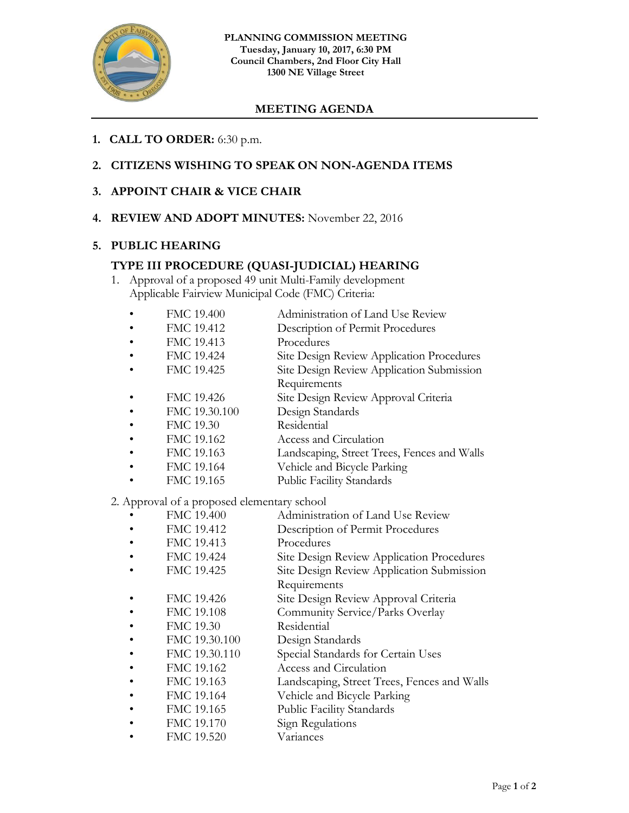

## **MEETING AGENDA**

- **1. CALL TO ORDER:** 6:30 p.m.
- **2. CITIZENS WISHING TO SPEAK ON NON-AGENDA ITEMS**
- **3. APPOINT CHAIR & VICE CHAIR**
- **4. REVIEW AND ADOPT MINUTES:** November 22, 2016

## **5. PUBLIC HEARING**

## **TYPE III PROCEDURE (QUASI-JUDICIAL) HEARING**

1. Approval of a proposed 49 unit Multi-Family development Applicable Fairview Municipal Code (FMC) Criteria:

| FMC 19.400     | Administration of Land Use Review                |
|----------------|--------------------------------------------------|
| FMC 19.412     | Description of Permit Procedures                 |
| FMC 19.413     | Procedures                                       |
| FMC 19.424     | <b>Site Design Review Application Procedures</b> |
| FMC 19.425     | Site Design Review Application Submission        |
|                | Requirements                                     |
| FMC 19.426     | Site Design Review Approval Criteria             |
| FMC 19.30.100  | Design Standards                                 |
| FMC 19.30      | Residential                                      |
| FMC 19.162     | Access and Circulation                           |
| FMC 19.163     | Landscaping, Street Trees, Fences and Walls      |
| <b>PREASAS</b> | TTII 150 ISLE                                    |

- FMC 19.164 Vehicle and Bicycle Parking
- FMC 19.165 Public Facility Standards

2. Approval of a proposed elementary school

- FMC 19.400 Administration of Land Use Review
- FMC 19.412 Description of Permit Procedures
- FMC 19.413 Procedures
- FMC 19.424 Site Design Review Application Procedures
- FMC 19.425 Site Design Review Application Submission
	- Requirements
- FMC 19.426 Site Design Review Approval Criteria
- FMC 19.108 Community Service/Parks Overlay
- FMC 19.30 Residential
- FMC 19.30.100 Design Standards
- FMC 19.30.110 Special Standards for Certain Uses
- FMC 19.162 Access and Circulation
- FMC 19.163 Landscaping, Street Trees, Fences and Walls
- FMC 19.164 Vehicle and Bicycle Parking
- FMC 19.165 Public Facility Standards
- FMC 19.170 Sign Regulations
- FMC 19.520 Variances